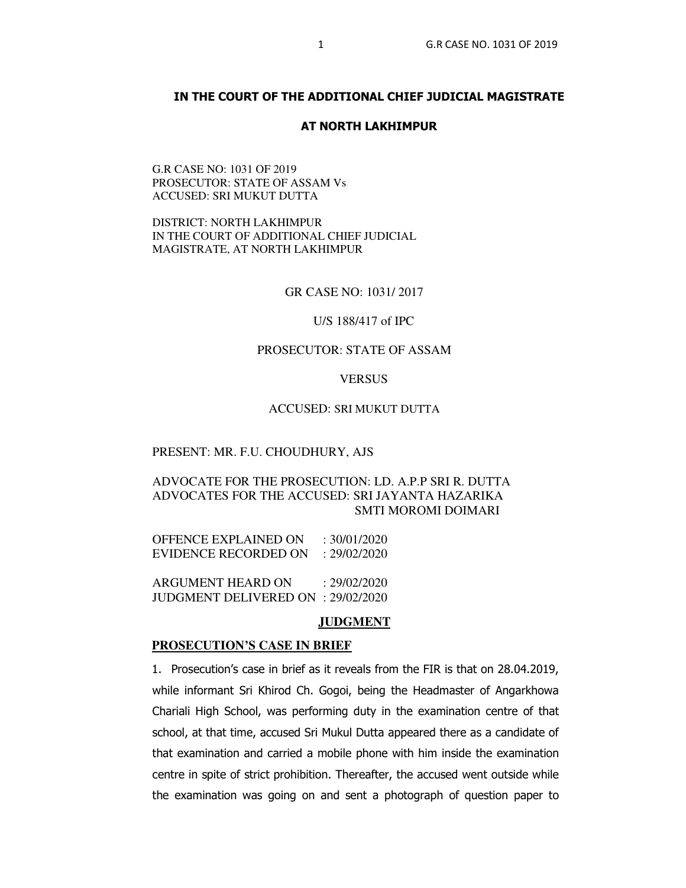## **IN THE COURT OF THE ADDITIONAL CHIEF JUDICIAL MAGISTRATE**

### **AT NORTH LAKHIMPUR**

G.R CASE NO: 1031 OF 2019 PROSECUTOR: STATE OF ASSAM Vs ACCUSED: SRI MUKUT DUTTA

DISTRICT: NORTH LAKHIMPUR IN THE COURT OF ADDITIONAL CHIEF JUDICIAL MAGISTRATE, AT NORTH LAKHIMPUR

GR CASE NO: 1031/ 2017

#### U/S 188/417 of IPC

## PROSECUTOR: STATE OF ASSAM

#### **VERSUS**

### ACCUSED: SRI MUKUT DUTTA

#### PRESENT: MR. F.U. CHOUDHURY, AJS

## ADVOCATE FOR THE PROSECUTION: LD. A.P.P SRI R. DUTTA ADVOCATES FOR THE ACCUSED: SRI JAYANTA HAZARIKA SMTI MOROMI DOIMARI

| OFFENCE EXPLAINED ON | $\div$ 30/01/2020 |
|----------------------|-------------------|
| EVIDENCE RECORDED ON | : 29/02/2020      |

ARGUMENT HEARD ON : 29/02/2020 JUDGMENT DELIVERED ON : 29/02/2020

#### **JUDGMENT**

#### **PROSECUTION'S CASE IN BRIEF**

1. Prosecution's case in brief as it reveals from the FIR is that on 28.04.2019, while informant Sri Khirod Ch. Gogoi, being the Headmaster of Angarkhowa Chariali High School, was performing duty in the examination centre of that school, at that time, accused Sri Mukul Dutta appeared there as a candidate of that examination and carried a mobile phone with him inside the examination centre in spite of strict prohibition. Thereafter, the accused went outside while the examination was going on and sent a photograph of question paper to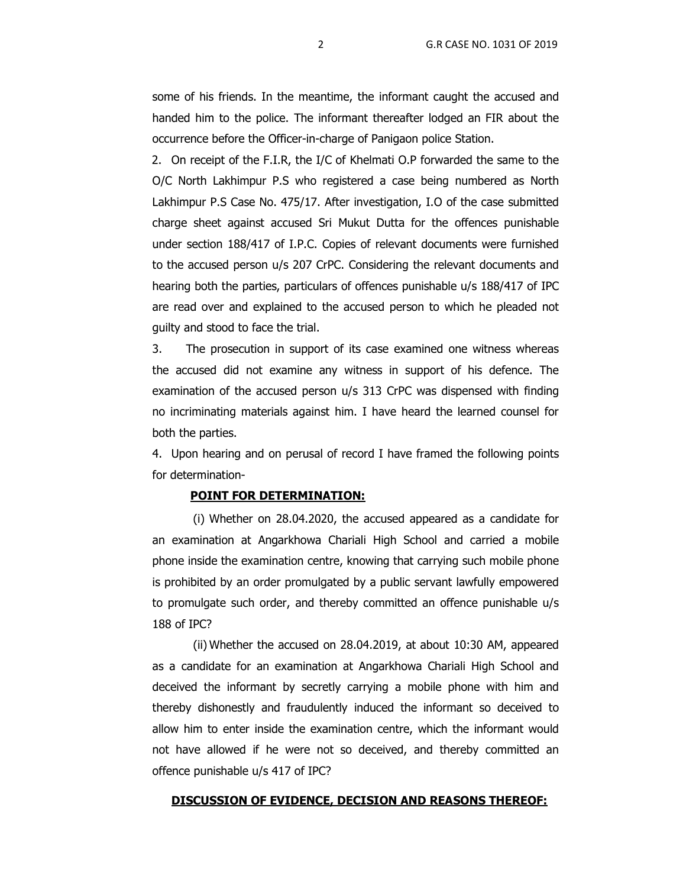some of his friends. In the meantime, the informant caught the accused and handed him to the police. The informant thereafter lodged an FIR about the occurrence before the Officer-in-charge of Panigaon police Station.

2. On receipt of the F.I.R, the I/C of Khelmati O.P forwarded the same to the O/C North Lakhimpur P.S who registered a case being numbered as North Lakhimpur P.S Case No. 475/17. After investigation, I.O of the case submitted charge sheet against accused Sri Mukut Dutta for the offences punishable under section 188/417 of I.P.C. Copies of relevant documents were furnished to the accused person u/s 207 CrPC. Considering the relevant documents and hearing both the parties, particulars of offences punishable u/s 188/417 of IPC are read over and explained to the accused person to which he pleaded not guilty and stood to face the trial.

3. The prosecution in support of its case examined one witness whereas the accused did not examine any witness in support of his defence. The examination of the accused person u/s 313 CrPC was dispensed with finding no incriminating materials against him. I have heard the learned counsel for both the parties.

4. Upon hearing and on perusal of record I have framed the following points for determination-

#### **POINT FOR DETERMINATION:**

(i) Whether on 28.04.2020, the accused appeared as a candidate for an examination at Angarkhowa Chariali High School and carried a mobile phone inside the examination centre, knowing that carrying such mobile phone is prohibited by an order promulgated by a public servant lawfully empowered to promulgate such order, and thereby committed an offence punishable u/s 188 of IPC?

(ii) Whether the accused on 28.04.2019, at about 10:30 AM, appeared as a candidate for an examination at Angarkhowa Chariali High School and deceived the informant by secretly carrying a mobile phone with him and thereby dishonestly and fraudulently induced the informant so deceived to allow him to enter inside the examination centre, which the informant would not have allowed if he were not so deceived, and thereby committed an offence punishable u/s 417 of IPC?

#### **DISCUSSION OF EVIDENCE, DECISION AND REASONS THEREOF:**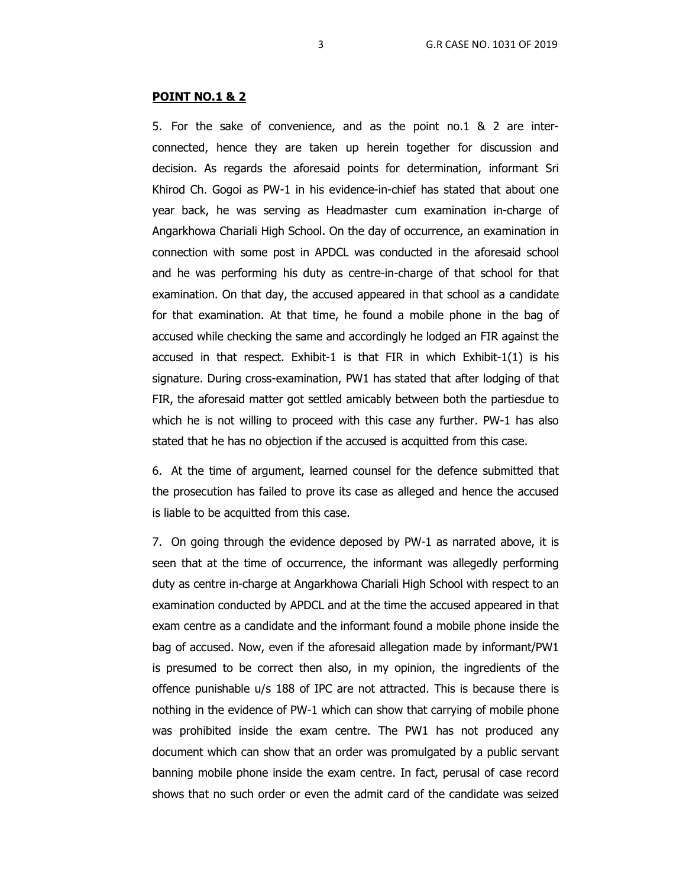#### **POINT NO.1 & 2**

5. For the sake of convenience, and as the point no.1 & 2 are interconnected, hence they are taken up herein together for discussion and decision. As regards the aforesaid points for determination, informant Sri Khirod Ch. Gogoi as PW-1 in his evidence-in-chief has stated that about one year back, he was serving as Headmaster cum examination in-charge of Angarkhowa Chariali High School. On the day of occurrence, an examination in connection with some post in APDCL was conducted in the aforesaid school and he was performing his duty as centre-in-charge of that school for that examination. On that day, the accused appeared in that school as a candidate for that examination. At that time, he found a mobile phone in the bag of accused while checking the same and accordingly he lodged an FIR against the accused in that respect. Exhibit-1 is that FIR in which Exhibit-1(1) is his signature. During cross-examination, PW1 has stated that after lodging of that FIR, the aforesaid matter got settled amicably between both the partiesdue to which he is not willing to proceed with this case any further. PW-1 has also stated that he has no objection if the accused is acquitted from this case.

6. At the time of argument, learned counsel for the defence submitted that the prosecution has failed to prove its case as alleged and hence the accused is liable to be acquitted from this case.

7. On going through the evidence deposed by PW-1 as narrated above, it is seen that at the time of occurrence, the informant was allegedly performing duty as centre in-charge at Angarkhowa Chariali High School with respect to an examination conducted by APDCL and at the time the accused appeared in that exam centre as a candidate and the informant found a mobile phone inside the bag of accused. Now, even if the aforesaid allegation made by informant/PW1 is presumed to be correct then also, in my opinion, the ingredients of the offence punishable u/s 188 of IPC are not attracted. This is because there is nothing in the evidence of PW-1 which can show that carrying of mobile phone was prohibited inside the exam centre. The PW1 has not produced any document which can show that an order was promulgated by a public servant banning mobile phone inside the exam centre. In fact, perusal of case record shows that no such order or even the admit card of the candidate was seized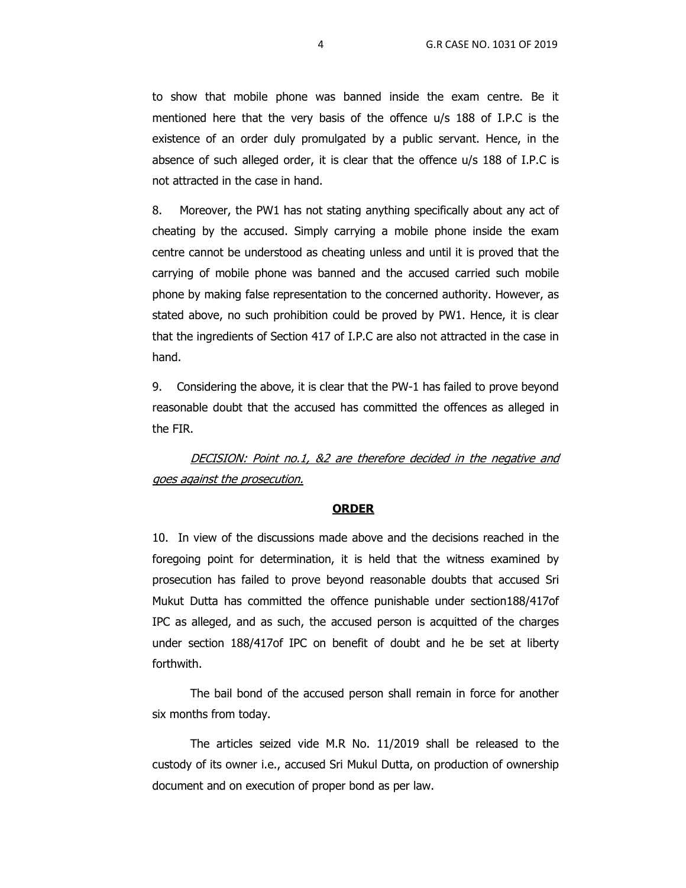to show that mobile phone was banned inside the exam centre. Be it mentioned here that the very basis of the offence u/s 188 of I.P.C is the existence of an order duly promulgated by a public servant. Hence, in the absence of such alleged order, it is clear that the offence u/s 188 of I.P.C is not attracted in the case in hand.

8. Moreover, the PW1 has not stating anything specifically about any act of cheating by the accused. Simply carrying a mobile phone inside the exam centre cannot be understood as cheating unless and until it is proved that the carrying of mobile phone was banned and the accused carried such mobile phone by making false representation to the concerned authority. However, as stated above, no such prohibition could be proved by PW1. Hence, it is clear that the ingredients of Section 417 of I.P.C are also not attracted in the case in hand.

9. Considering the above, it is clear that the PW-1 has failed to prove beyond reasonable doubt that the accused has committed the offences as alleged in the FIR.

DECISION: Point no.1, &2 are therefore decided in the negative and goes against the prosecution.

#### **ORDER**

10. In view of the discussions made above and the decisions reached in the foregoing point for determination, it is held that the witness examined by prosecution has failed to prove beyond reasonable doubts that accused Sri Mukut Dutta has committed the offence punishable under section188/417of IPC as alleged, and as such, the accused person is acquitted of the charges under section 188/417of IPC on benefit of doubt and he be set at liberty forthwith.

The bail bond of the accused person shall remain in force for another six months from today.

The articles seized vide M.R No. 11/2019 shall be released to the custody of its owner i.e., accused Sri Mukul Dutta, on production of ownership document and on execution of proper bond as per law.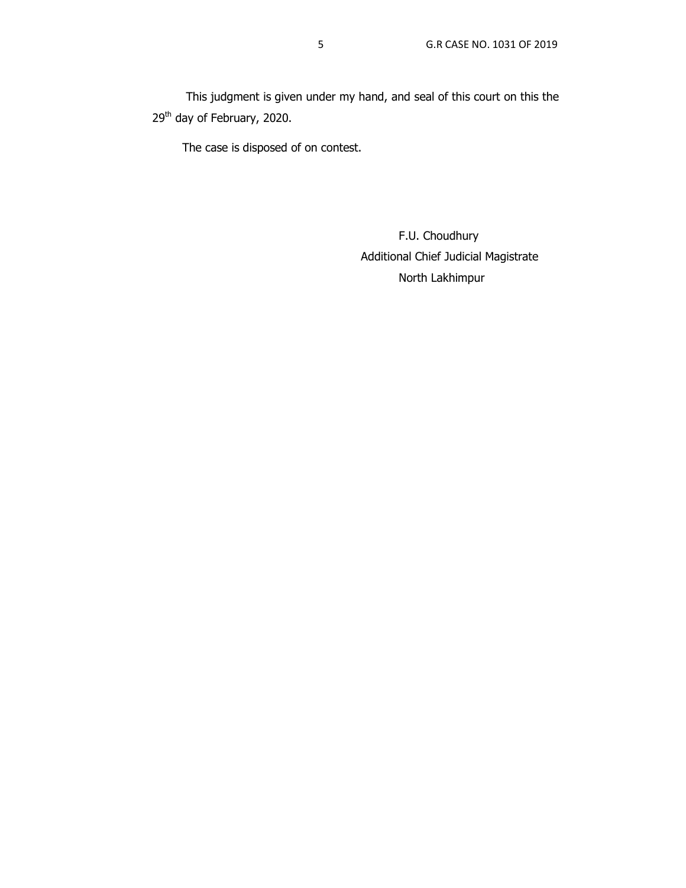This judgment is given under my hand, and seal of this court on this the 29<sup>th</sup> day of February, 2020.

The case is disposed of on contest.

F.U. Choudhury Additional Chief Judicial Magistrate North Lakhimpur